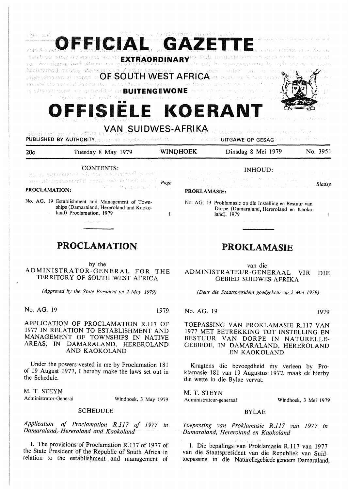|     | CONTENTS:<br>we are approximated all, which are suntified to apticle                                                                                                                                                                                                                                                                                                                                                                                                                                                                                                                                                                                                                                                                                                          |                                                   | <b>INHOUD:</b><br>$\mathcal{L}^{\mathcal{L}}(\mathbf{x}^{(i)})$ , where $\mathcal{L}^{\mathcal{L}}(\mathbf{x}^{(i)})$ and the following                                                                                                                           |          |  |
|-----|-------------------------------------------------------------------------------------------------------------------------------------------------------------------------------------------------------------------------------------------------------------------------------------------------------------------------------------------------------------------------------------------------------------------------------------------------------------------------------------------------------------------------------------------------------------------------------------------------------------------------------------------------------------------------------------------------------------------------------------------------------------------------------|---------------------------------------------------|-------------------------------------------------------------------------------------------------------------------------------------------------------------------------------------------------------------------------------------------------------------------|----------|--|
| 20c | Tuesday 8 May 1979                                                                                                                                                                                                                                                                                                                                                                                                                                                                                                                                                                                                                                                                                                                                                            | <b>WINDHOEK</b>                                   | Dinsdag 8 Mei 1979                                                                                                                                                                                                                                                | No. 3951 |  |
|     | sib di tech mengeng gdyott te<br>PUBLISHED BY AUTHORITY mission and esterology points and a con-                                                                                                                                                                                                                                                                                                                                                                                                                                                                                                                                                                                                                                                                              |                                                   | VAN SUIDWES-AFRIKA ad balance player of a contract of and<br>$\mathcal{L}(\mathbb{R}^n) \cong \mathbb{R}^n \otimes \mathbb{R}^n \text{UITGAWE (OP/GESAG)} \cong \mathbb{R}^n \otimes \mathbb{R}^n \otimes \mathbb{R}^n \otimes \mathbb{R}^n \otimes \mathbb{R}^n$ |          |  |
|     | OFFISIELE KOERANT                                                                                                                                                                                                                                                                                                                                                                                                                                                                                                                                                                                                                                                                                                                                                             |                                                   |                                                                                                                                                                                                                                                                   |          |  |
|     | agest at least at imports securitie EXTRAORDINARY To little processions with a company relativistic<br>nse den cianquidorfi olimain use guidentenere de la merita de la montegnerence de conductiva su de node<br>ibneistamaG moodos sheiricadh anak ab in saireanach.<br>Bhabreaktadon ai iochad ao $\mathsf{O}\mathsf{F}$ is $\mathsf{S}\mathsf{O}\mathsf{U}$ TH. $\mathsf{W}\mathsf{E}\mathsf{S}\mathsf{T}$ A $\mathsf{F}\mathsf{R}\mathsf{IC}\mathsf{A}$ ons analcsion $\mathbb R$ ian ondos $\mathbb R$<br>go jaki ab savat fi ladem muntu avadjusi ovsagsmann – na jume la jumene nije retenenta<br>In whole through the condensation on BUITENGEWONE decomparison to the company look in the cond<br>- (房神経) asv 48 40岁(180号) 原道会表 2024年2月 - 一个小队行为运行系统的行为运行 asterの 心感 |                                                   |                                                                                                                                                                                                                                                                   |          |  |
|     | OFFICIAL GAZETTE                                                                                                                                                                                                                                                                                                                                                                                                                                                                                                                                                                                                                                                                                                                                                              | <u>FUL vor</u> d a gem <u>in</u> omphisment model |                                                                                                                                                                                                                                                                   |          |  |

appel hannout topol companies to the *Page*  

**PROCLAMATION:** 

No. AG. 19 Establishment and Management of Townships (Damaraland, Hereroland and Kaokoland) Proclamation, 1979

# **PROCLAMATION**

.<br>General March 1980 and the State of Contractor

by the ADMINISTRATOR-GENERAL FOR THE TERRITORY OF SOUTH WEST AFRICA

*(Approved by the State President on 2 May 1979)* 

No. AG. 19 1979

 $\mathbf{I}$ 

**APPLICATION** OF **PROCLAMATION** R.117 OF 1977 **IN RELATION** TO ESTABLISHMENT AND **MANAGEMENT** OF **TOWNSHIPS IN** NATIVE **AREAS, IN DAMARALAND,** HEREROLAND **AND KAOKOLAND** 

Under the powers vested in me by Proclamation 181 of 19 August 1977, I hereby make the laws set out in the Schedule.

**M.** T. **STEYN**  Administrator-General

Windhoek, 3 May 1979

### SCHEDULE

*Application of Proclamation R.117 of 1977 in Damaraland,Hereroland and Kaokoland* 

1. The provisions of Proclamation R.117 of 1977 of the State President of the Republic of South Africa in relation to the establishment and management of

# **PROKLAMASIE**

Dorpe (Damaraland, Hereroland en Kaoko-

No. AG. 19 Proklamasie op die Instelling en Bestuur van

land), 1979

facet cross The control of the theory of

van die ADMINISTRATEUR-GENERAAL VIR DIE GEBIED SUIDWES-AFRIKA

*(Deur die Staatspresident goedgekeur op 2 Mei 1979)* 

No. AG. 19 1979

**PROKLAMASIE:** 

*Bladsy* 

 $\mathbf{I}$ 

TOEPASSING VAN PROKLAMASIE R.117 VAN 1977 MET BETREKKING TOT INSTELLING EN BESTUUR VAN DORPE IN NATURELLE-GEBIEDE, IN DAMARALAND, HEREROLAND EN KAOKOLAND

Kragtens die bevoegdheid my verleen by Proklamasie 181 van 19 Augustus 1977, maak ek hierby die wette in die Bylae vervat.

M. T. STEYN Administrateur-generaal

Windhoek, 3 Mei 1979

### BYLAE

*Toepassing van Proklamasie R.117 van 1977 in Damara/and, Hereroland en Kaokoland* 

1. Die bepalings van Proklamasie R.117 van 1977 van die Staatspresident van die Republiek van Suidtoepassing in die Naturellegebiede genoem Damaraland,